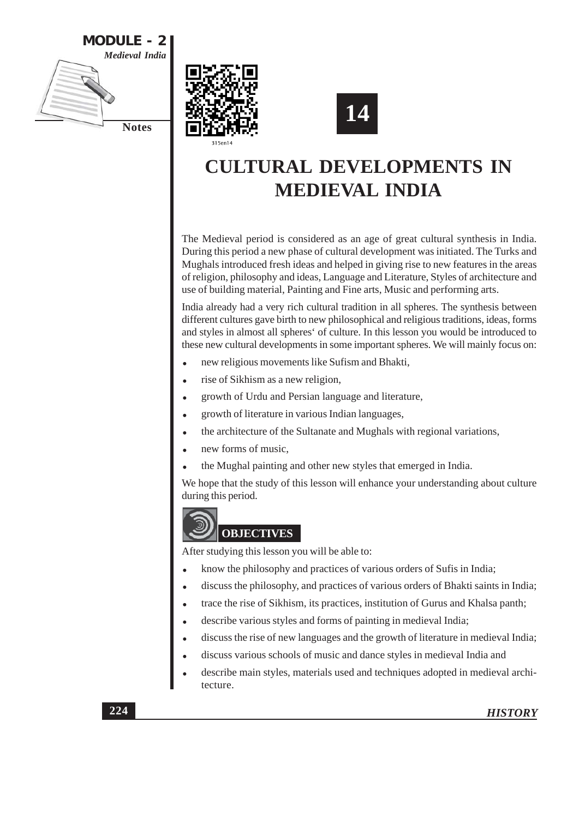





## **CULTURAL DEVELOPMENTS IN MEDIEVAL INDIA**

The Medieval period is considered as an age of great cultural synthesis in India. During this period a new phase of cultural development was initiated. The Turks and Mughals introduced fresh ideas and helped in giving rise to new features in the areas of religion, philosophy and ideas, Language and Literature, Styles of architecture and use of building material, Painting and Fine arts, Music and performing arts.

India already had a very rich cultural tradition in all spheres. The synthesis between different cultures gave birth to new philosophical and religious traditions, ideas, forms and styles in almost all spheres' of culture. In this lesson you would be introduced to these new cultural developments in some important spheres. We will mainly focus on:

- new religious movements like Sufism and Bhakti,
- rise of Sikhism as a new religion,
- growth of Urdu and Persian language and literature,
- growth of literature in various Indian languages,
- the architecture of the Sultanate and Mughals with regional variations,
- new forms of music,
- the Mughal painting and other new styles that emerged in India.

We hope that the study of this lesson will enhance your understanding about culture during this period.

# **OBJECTIVES**

After studying this lesson you will be able to:

- know the philosophy and practices of various orders of Sufis in India;
- discuss the philosophy, and practices of various orders of Bhakti saints in India;
- trace the rise of Sikhism, its practices, institution of Gurus and Khalsa panth;
- describe various styles and forms of painting in medieval India;
- discuss the rise of new languages and the growth of literature in medieval India;  $\blacksquare$
- discuss various schools of music and dance styles in medieval India and
- describe main styles, materials used and techniques adopted in medieval architecture.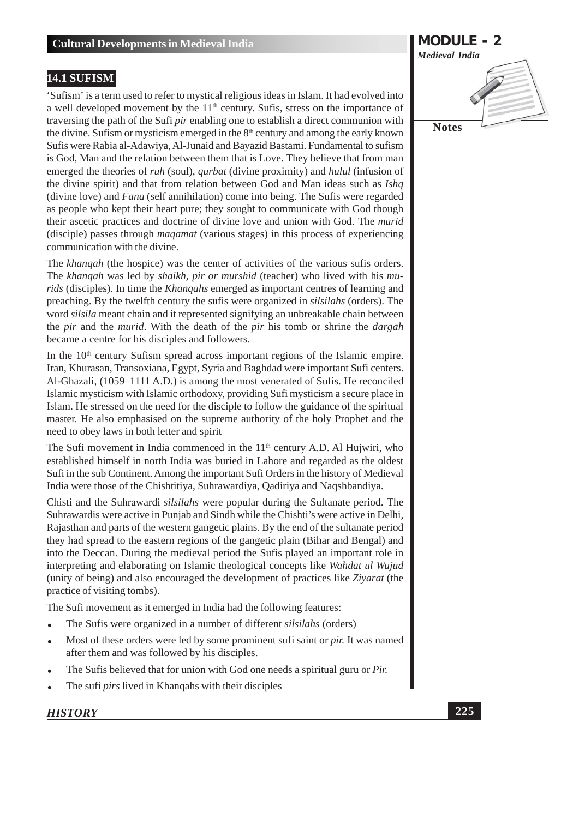## **14.1 SUFISM**

'Sufism' is a term used to refer to mystical religious ideas in Islam. It had evolved into a well developed movement by the 11<sup>th</sup> century. Sufis, stress on the importance of traversing the path of the Sufi pir enabling one to establish a direct communion with the divine. Sufism or mysticism emerged in the  $8<sup>th</sup>$  century and among the early known Sufis were Rabia al-Adawiya, Al-Junaid and Bayazid Bastami. Fundamental to sufism is God, Man and the relation between them that is Love. They believe that from man emerged the theories of *ruh* (soul), *qurbat* (divine proximity) and *hulul* (infusion of the divine spirit) and that from relation between God and Man ideas such as Ishq (divine love) and *Fana* (self annihilation) come into being. The Sufis were regarded as people who kept their heart pure; they sought to communicate with God though their ascetic practices and doctrine of divine love and union with God. The murid (disciple) passes through *magamat* (various stages) in this process of experiencing communication with the divine.

The khangah (the hospice) was the center of activities of the various sufis orders. The khangah was led by shaikh, pir or murshid (teacher) who lived with his mu*rids* (disciples). In time the *Khangahs* emerged as important centres of learning and preaching. By the twelfth century the sufis were organized in *silsilahs* (orders). The word *silsila* meant chain and it represented signifying an unbreakable chain between the pir and the murid. With the death of the pir his tomb or shrine the *dargah* became a centre for his disciples and followers.

In the  $10<sup>th</sup>$  century Sufism spread across important regions of the Islamic empire. Iran, Khurasan, Transoxiana, Egypt, Syria and Baghdad were important Sufi centers. Al-Ghazali, (1059–1111 A.D.) is among the most venerated of Sufis. He reconciled Islamic mysticism with Islamic orthodoxy, providing Sufi mysticism a secure place in Islam. He stressed on the need for the disciple to follow the guidance of the spiritual master. He also emphasised on the supreme authority of the holy Prophet and the need to obey laws in both letter and spirit

The Sufi movement in India commenced in the 11<sup>th</sup> century A.D. Al Hujwiri, who established himself in north India was buried in Lahore and regarded as the oldest Sufi in the sub Continent. Among the important Sufi Orders in the history of Medieval India were those of the Chishtitiya, Suhrawardiya, Qadiriya and Naqshbandiya.

Chisti and the Suhrawardi silsilahs were popular during the Sultanate period. The Suhrawardis were active in Punjab and Sindh while the Chishti's were active in Delhi, Rajasthan and parts of the western gangetic plains. By the end of the sultanate period they had spread to the eastern regions of the gangetic plain (Bihar and Bengal) and into the Deccan. During the medieval period the Sufis played an important role in interpreting and elaborating on Islamic theological concepts like Wahdat ul Wujud (unity of being) and also encouraged the development of practices like Ziyarat (the practice of visiting tombs).

The Sufi movement as it emerged in India had the following features:

- The Sufis were organized in a number of different *silsilahs* (orders)
- Most of these orders were led by some prominent sufi saint or *pir*. It was named after them and was followed by his disciples.
- The Sufis believed that for union with God one needs a spiritual guru or Pir.
- The sufi *pirs* lived in Khangahs with their disciples

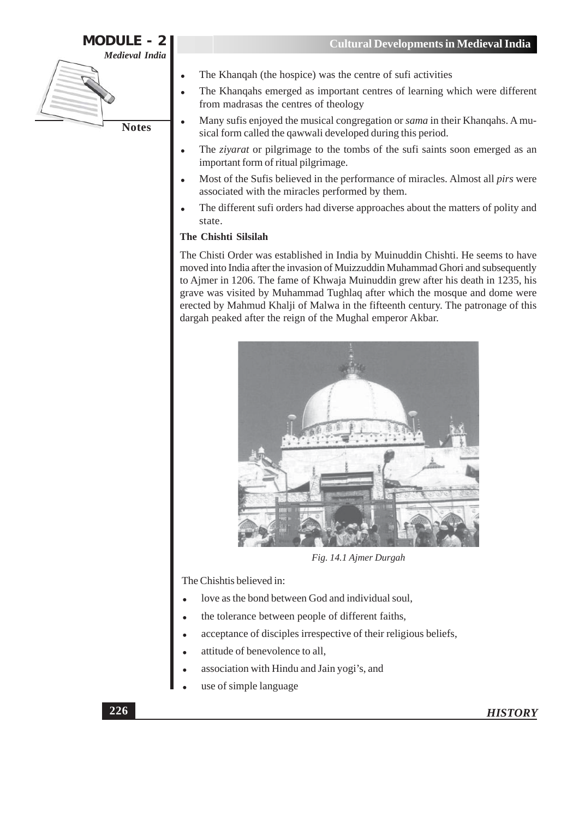

- The Khanqah (the hospice) was the centre of sufi activities
- The Khangahs emerged as important centres of learning which were different from madrasas the centres of theology
- Many sufis enjoyed the musical congregation or sama in their Khangahs. A musical form called the gawwali developed during this period.
- The *ziyarat* or pilgrimage to the tombs of the sufi saints soon emerged as an  $\bullet$ important form of ritual pilgrimage.
- Most of the Sufis believed in the performance of miracles. Almost all *pirs* were  $\bullet$ associated with the miracles performed by them.
- The different sufi orders had diverse approaches about the matters of polity and  $\ddot{\phantom{0}}$ state.

#### The Chishti Silsilah

The Chisti Order was established in India by Muinuddin Chishti. He seems to have moved into India after the invasion of Muizzuddin Muhammad Ghori and subsequently to Ajmer in 1206. The fame of Khwaja Muinuddin grew after his death in 1235, his grave was visited by Muhammad Tughlaq after which the mosque and dome were erected by Mahmud Khalji of Malwa in the fifteenth century. The patronage of this dargah peaked after the reign of the Mughal emperor Akbar.



Fig. 14.1 Ajmer Durgah

The Chishtis believed in:

- love as the bond between God and individual soul,
- the tolerance between people of different faiths,  $\bullet$
- acceptance of disciples irrespective of their religious beliefs,
- attitude of benevolence to all,
- association with Hindu and Jain yogi's, and
- use of simple language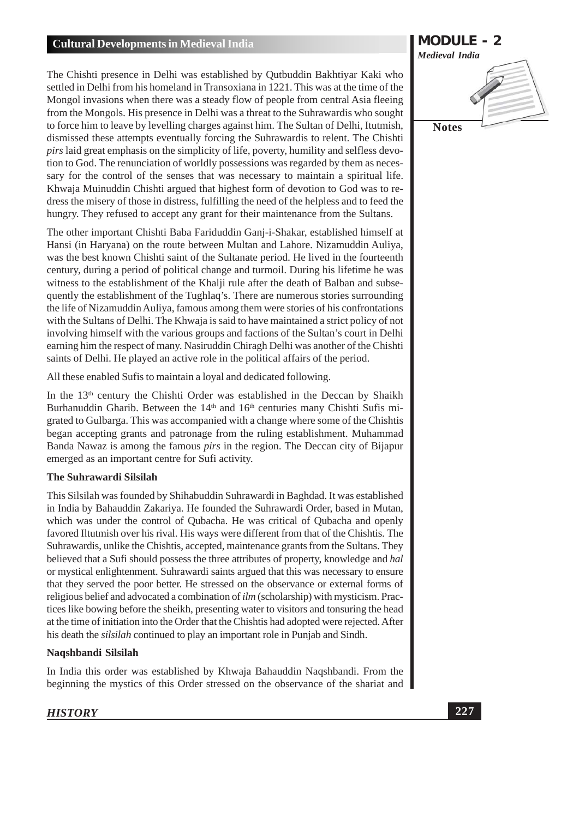The Chishti presence in Delhi was established by Qutbuddin Bakhtiyar Kaki who settled in Delhi from his homeland in Transoxiana in 1221. This was at the time of the Mongol invasions when there was a steady flow of people from central Asia fleeing from the Mongols. His presence in Delhi was a threat to the Suhrawardis who sought to force him to leave by levelling charges against him. The Sultan of Delhi, Itutmish, dismissed these attempts eventually forcing the Suhrawardis to relent. The Chishti pirs laid great emphasis on the simplicity of life, poverty, humility and selfless devotion to God. The renunciation of worldly possessions was regarded by them as necessary for the control of the senses that was necessary to maintain a spiritual life. Khwaja Muinuddin Chishti argued that highest form of devotion to God was to redress the misery of those in distress, fulfilling the need of the helpless and to feed the hungry. They refused to accept any grant for their maintenance from the Sultans.

The other important Chishti Baba Fariduddin Ganj-i-Shakar, established himself at Hansi (in Haryana) on the route between Multan and Lahore. Nizamuddin Auliya, was the best known Chishti saint of the Sultanate period. He lived in the fourteenth century, during a period of political change and turmoil. During his lifetime he was witness to the establishment of the Khalji rule after the death of Balban and subsequently the establishment of the Tughlaq's. There are numerous stories surrounding the life of Nizamuddin Auliya, famous among them were stories of his confrontations with the Sultans of Delhi. The Khwaja is said to have maintained a strict policy of not involving himself with the various groups and factions of the Sultan's court in Delhi earning him the respect of many. Nasiruddin Chiragh Delhi was another of the Chishti saints of Delhi. He played an active role in the political affairs of the period.

All these enabled Sufis to maintain a loyal and dedicated following.

In the 13<sup>th</sup> century the Chishti Order was established in the Deccan by Shaikh Burhanuddin Gharib. Between the 14<sup>th</sup> and 16<sup>th</sup> centuries many Chishti Sufis migrated to Gulbarga. This was accompanied with a change where some of the Chishtis began accepting grants and patronage from the ruling establishment. Muhammad Banda Nawaz is among the famous *pirs* in the region. The Deccan city of Bijapur emerged as an important centre for Sufi activity.

#### The Suhrawardi Silsilah

This Silsilah was founded by Shihabuddin Suhrawardi in Baghdad. It was established in India by Bahauddin Zakariya. He founded the Suhrawardi Order, based in Mutan, which was under the control of Qubacha. He was critical of Qubacha and openly favored Iltutmish over his rival. His ways were different from that of the Chishtis. The Suhrawardis, unlike the Chishtis, accepted, maintenance grants from the Sultans. They believed that a Sufi should possess the three attributes of property, knowledge and hal or mystical enlightenment. Suhrawardi saints argued that this was necessary to ensure that they served the poor better. He stressed on the observance or external forms of religious belief and advocated a combination of *ilm* (scholarship) with mysticism. Practices like bowing before the sheikh, presenting water to visitors and tonsuring the head at the time of initiation into the Order that the Chishtis had adopted were rejected. After his death the *silsilah* continued to play an important role in Punjab and Sindh.

#### Naqshbandi Silsilah

In India this order was established by Khwaja Bahauddin Naqshbandi. From the beginning the mystics of this Order stressed on the observance of the shariat and

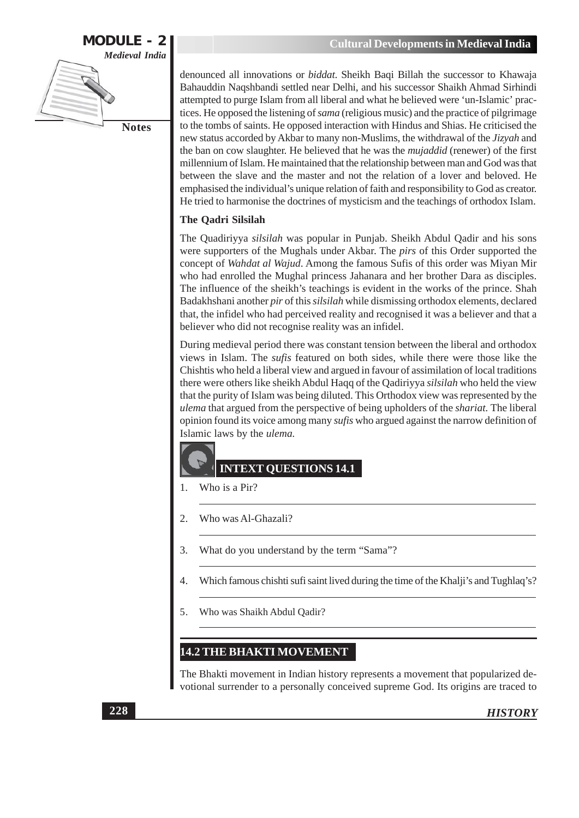

denounced all innovations or biddat. Sheikh Baqi Billah the successor to Khawaja Bahauddin Nagshbandi settled near Delhi, and his successor Shaikh Ahmad Sirhindi attempted to purge Islam from all liberal and what he believed were 'un-Islamic' practices. He opposed the listening of *sama* (religious music) and the practice of pilgrimage to the tombs of saints. He opposed interaction with Hindus and Shias. He criticised the new status accorded by Akbar to many non-Muslims, the withdrawal of the Jizyah and the ban on cow slaughter. He believed that he was the *mujaddid* (renewer) of the first millennium of Islam. He maintained that the relationship between man and God was that between the slave and the master and not the relation of a lover and beloved. He emphasised the individual's unique relation of faith and responsibility to God as creator. He tried to harmonise the doctrines of mysticism and the teachings of orthodox Islam.

#### The Qadri Silsilah

The Quadiriyya silsilah was popular in Punjab. Sheikh Abdul Qadir and his sons were supporters of the Mughals under Akbar. The *pirs* of this Order supported the concept of Wahdat al Wajud. Among the famous Sufis of this order was Miyan Mir who had enrolled the Mughal princess Jahanara and her brother Dara as disciples. The influence of the sheikh's teachings is evident in the works of the prince. Shah Badakhshani another pir of this silsilah while dismissing orthodox elements, declared that, the infidel who had perceived reality and recognised it was a believer and that a believer who did not recognise reality was an infidel.

During medieval period there was constant tension between the liberal and orthodox views in Islam. The *sufis* featured on both sides, while there were those like the Chishtis who held a liberal view and argued in favour of assimilation of local traditions there were others like sheikh Abdul Haqq of the Qadiriyya silsilah who held the view that the purity of Islam was being diluted. This Orthodox view was represented by the *ulema* that argued from the perspective of being upholders of the *shariat*. The liberal opinion found its voice among many *sufis* who argued against the narrow definition of Islamic laws by the ulema.

#### **INTEXT QUESTIONS 14.1**

- Who is a Pir?  $\mathbf{1}$
- Who was Al-Ghazali? 2.
- 3. What do you understand by the term "Sama"?
- Which famous chishti sufi saint lived during the time of the Khalji's and Tughlaq's? 4.
- $\mathfrak{I}.$ Who was Shaikh Abdul Qadir?

#### **14.2 THE BHAKTI MOVEMENT**

The Bhakti movement in Indian history represents a movement that popularized devotional surrender to a personally conceived supreme God. Its origins are traced to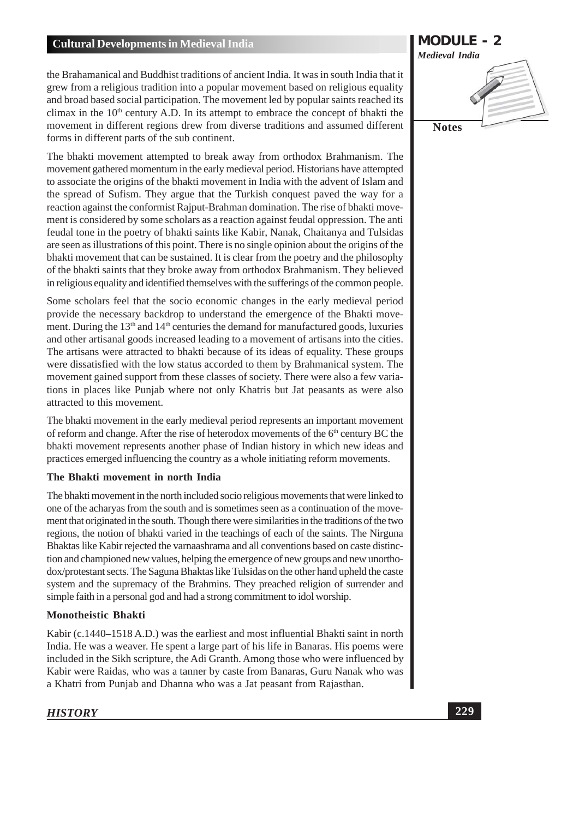the Brahamanical and Buddhist traditions of ancient India. It was in south India that it grew from a religious tradition into a popular movement based on religious equality and broad based social participation. The movement led by popular saints reached its climax in the  $10<sup>th</sup>$  century A.D. In its attempt to embrace the concept of bhakti the movement in different regions drew from diverse traditions and assumed different forms in different parts of the sub continent.

The bhakti movement attempted to break away from orthodox Brahmanism. The movement gathered momentum in the early medieval period. Historians have attempted to associate the origins of the bhakti movement in India with the advent of Islam and the spread of Sufism. They argue that the Turkish conquest paved the way for a reaction against the conformist Rajput-Brahman domination. The rise of bhakti movement is considered by some scholars as a reaction against feudal oppression. The anti feudal tone in the poetry of bhakti saints like Kabir, Nanak, Chaitanya and Tulsidas are seen as illustrations of this point. There is no single opinion about the origins of the bhakti movement that can be sustained. It is clear from the poetry and the philosophy of the bhakti saints that they broke away from orthodox Brahmanism. They believed in religious equality and identified themselves with the sufferings of the common people.

Some scholars feel that the socio economic changes in the early medieval period provide the necessary backdrop to understand the emergence of the Bhakti movement. During the 13<sup>th</sup> and 14<sup>th</sup> centuries the demand for manufactured goods, luxuries and other artisanal goods increased leading to a movement of artisans into the cities. The artisans were attracted to bhakti because of its ideas of equality. These groups were dissatisfied with the low status accorded to them by Brahmanical system. The movement gained support from these classes of society. There were also a few variations in places like Punjab where not only Khatris but Jat peasants as were also attracted to this movement.

The bhakti movement in the early medieval period represents an important movement of reform and change. After the rise of heterodox movements of the  $6<sup>th</sup>$  century BC the bhakti movement represents another phase of Indian history in which new ideas and practices emerged influencing the country as a whole initiating reform movements.

#### The Bhakti movement in north India

The bhakti movement in the north included socio religious movements that were linked to one of the acharyas from the south and is sometimes seen as a continuation of the movement that originated in the south. Though there were similarities in the traditions of the two regions, the notion of bhakti varied in the teachings of each of the saints. The Nirguna Bhaktas like Kabir rejected the varnaashrama and all conventions based on caste distinction and championed new values, helping the emergence of new groups and new unorthodox/protestant sects. The Saguna Bhaktas like Tulsidas on the other hand upheld the caste system and the supremacy of the Brahmins. They preached religion of surrender and simple faith in a personal god and had a strong commitment to idol worship.

#### **Monotheistic Bhakti**

Kabir (c.1440–1518 A.D.) was the earliest and most influential Bhakti saint in north India. He was a weaver. He spent a large part of his life in Banaras. His poems were included in the Sikh scripture, the Adi Granth. Among those who were influenced by Kabir were Raidas, who was a tanner by caste from Banaras, Guru Nanak who was a Khatri from Punjab and Dhanna who was a Jat peasant from Rajasthan.

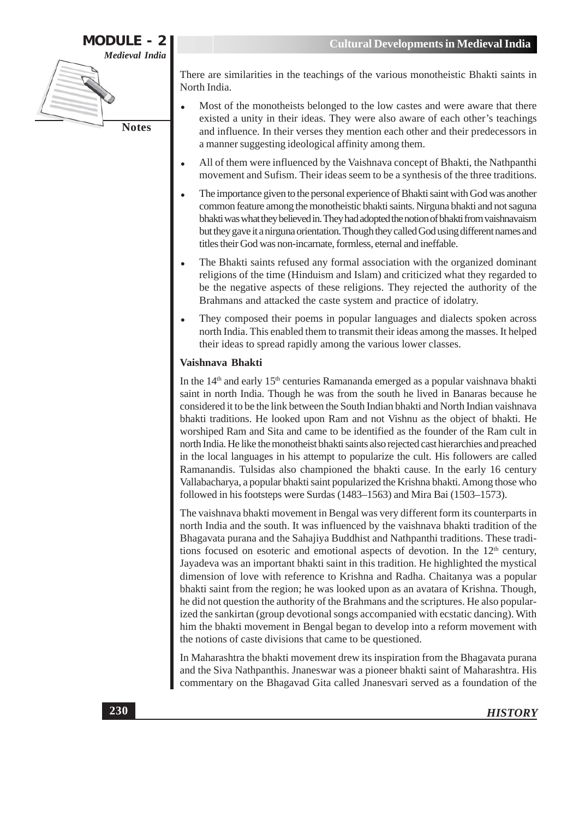

There are similarities in the teachings of the various monotheistic Bhakti saints in North India.

- Most of the monotheists belonged to the low castes and were aware that there existed a unity in their ideas. They were also aware of each other's teachings and influence. In their verses they mention each other and their predecessors in a manner suggesting ideological affinity among them.
- All of them were influenced by the Vaishnava concept of Bhakti, the Nathpanthi  $\bullet$ movement and Sufism. Their ideas seem to be a synthesis of the three traditions.
- The importance given to the personal experience of Bhakti saint with God was another  $\bullet$ common feature among the monotheistic bhakti saints. Nirguna bhakti and not saguna bhakti was what they believed in. They had adopted the notion of bhakti from vaishnavaism but they gave it a nirguna orientation. Though they called God using different names and titles their God was non-incarnate, formless, eternal and ineffable.
- The Bhakti saints refused any formal association with the organized dominant  $\bullet$ religions of the time (Hinduism and Islam) and criticized what they regarded to be the negative aspects of these religions. They rejected the authority of the Brahmans and attacked the caste system and practice of idolatry.
- They composed their poems in popular languages and dialects spoken across  $\bullet$ north India. This enabled them to transmit their ideas among the masses. It helped their ideas to spread rapidly among the various lower classes.

#### Vaishnava Bhakti

In the 14<sup>th</sup> and early 15<sup>th</sup> centuries Ramananda emerged as a popular vaishnava bhakti saint in north India. Though he was from the south he lived in Banaras because he considered it to be the link between the South Indian bhakti and North Indian vaishnava bhakti traditions. He looked upon Ram and not Vishnu as the object of bhakti. He worshiped Ram and Sita and came to be identified as the founder of the Ram cult in north India. He like the monotheist bhakti saints also rejected cast hierarchies and preached in the local languages in his attempt to popularize the cult. His followers are called Ramanandis. Tulsidas also championed the bhakti cause. In the early 16 century Vallabacharya, a popular bhakti saint popularized the Krishna bhakti. Among those who followed in his footsteps were Surdas (1483–1563) and Mira Bai (1503–1573).

The vaishnava bhakti movement in Bengal was very different form its counterparts in north India and the south. It was influenced by the vaishnava bhakti tradition of the Bhagavata purana and the Sahajiya Buddhist and Nathpanthi traditions. These traditions focused on esoteric and emotional aspects of devotion. In the 12<sup>th</sup> century, Jayadeva was an important bhakti saint in this tradition. He highlighted the mystical dimension of love with reference to Krishna and Radha. Chaitanya was a popular bhakti saint from the region; he was looked upon as an avatara of Krishna. Though, he did not question the authority of the Brahmans and the scriptures. He also popularized the sankirtan (group devotional songs accompanied with ecstatic dancing). With him the bhakti movement in Bengal began to develop into a reform movement with the notions of caste divisions that came to be questioned.

In Maharashtra the bhakti movement drew its inspiration from the Bhagavata purana and the Siva Nathpanthis. Jnaneswar was a pioneer bhakti saint of Maharashtra. His commentary on the Bhagavad Gita called Jnanesvari served as a foundation of the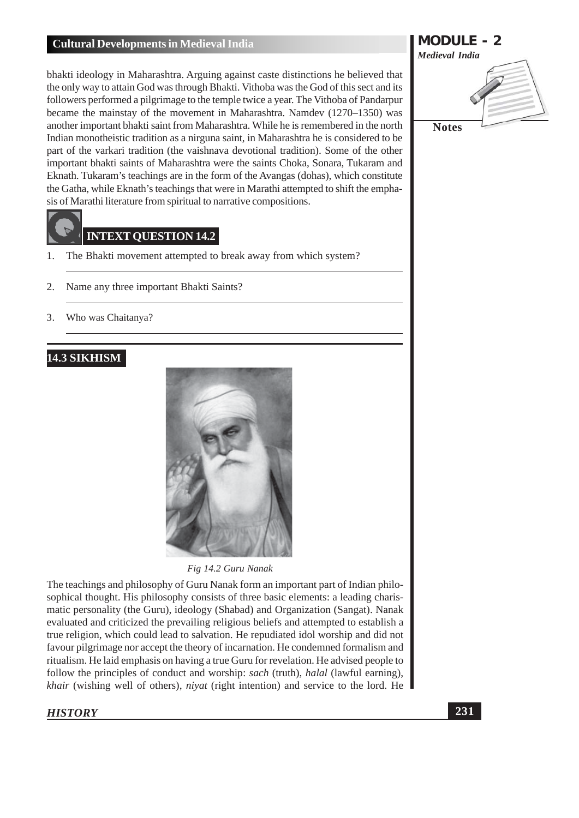bhakti ideology in Maharashtra. Arguing against caste distinctions he believed that the only way to attain God was through Bhakti. Vithoba was the God of this sect and its followers performed a pilgrimage to the temple twice a year. The Vithoba of Pandarpur became the mainstay of the movement in Maharashtra. Namdev (1270–1350) was another important bhakti saint from Maharashtra. While he is remembered in the north Indian monotheistic tradition as a nirguna saint, in Maharashtra he is considered to be part of the varkari tradition (the vaishnava devotional tradition). Some of the other important bhakti saints of Maharashtra were the saints Choka, Sonara, Tukaram and Eknath. Tukaram's teachings are in the form of the Avangas (dohas), which constitute the Gatha, while Eknath's teachings that were in Marathi attempted to shift the emphasis of Marathi literature from spiritual to narrative compositions.



- The Bhakti movement attempted to break away from which system? 1.
- $\overline{2}$ . Name any three important Bhakti Saints?
- 3. Who was Chaitanya?

## 14.3 SIKHISM



Fig 14.2 Guru Nanak

The teachings and philosophy of Guru Nanak form an important part of Indian philosophical thought. His philosophy consists of three basic elements: a leading charismatic personality (the Guru), ideology (Shabad) and Organization (Sangat). Nanak evaluated and criticized the prevailing religious beliefs and attempted to establish a true religion, which could lead to salvation. He repudiated idol worship and did not favour pilgrimage nor accept the theory of incarnation. He condemned formalism and ritualism. He laid emphasis on having a true Guru for revelation. He advised people to follow the principles of conduct and worship: sach (truth), halal (lawful earning), khair (wishing well of others), nivat (right intention) and service to the lord. He

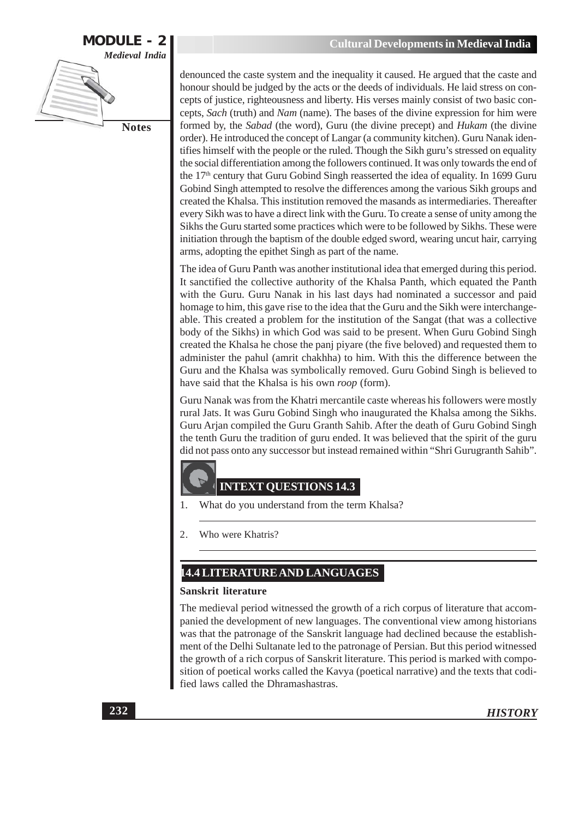

denounced the caste system and the inequality it caused. He argued that the caste and honour should be judged by the acts or the deeds of individuals. He laid stress on concepts of justice, righteousness and liberty. His verses mainly consist of two basic concepts, Sach (truth) and Nam (name). The bases of the divine expression for him were formed by, the Sabad (the word), Guru (the divine precept) and Hukam (the divine order). He introduced the concept of Langar (a community kitchen). Guru Nanak identifies himself with the people or the ruled. Though the Sikh guru's stressed on equality the social differentiation among the followers continued. It was only towards the end of the 17<sup>th</sup> century that Guru Gobind Singh reasserted the idea of equality. In 1699 Guru Gobind Singh attempted to resolve the differences among the various Sikh groups and created the Khalsa. This institution removed the masands as intermediaries. Thereafter every Sikh was to have a direct link with the Guru. To create a sense of unity among the Sikhs the Guru started some practices which were to be followed by Sikhs. These were initiation through the baptism of the double edged sword, wearing uncut hair, carrying arms, adopting the epithet Singh as part of the name.

The idea of Guru Panth was another institutional idea that emerged during this period. It sanctified the collective authority of the Khalsa Panth, which equated the Panth with the Guru. Guru Nanak in his last days had nominated a successor and paid homage to him, this gave rise to the idea that the Guru and the Sikh were interchangeable. This created a problem for the institution of the Sangat (that was a collective body of the Sikhs) in which God was said to be present. When Guru Gobind Singh created the Khalsa he chose the panj piyare (the five beloved) and requested them to administer the pahul (amrit chakhha) to him. With this the difference between the Guru and the Khalsa was symbolically removed. Guru Gobind Singh is believed to have said that the Khalsa is his own *roop* (form).

Guru Nanak was from the Khatri mercantile caste whereas his followers were mostly rural Jats. It was Guru Gobind Singh who inaugurated the Khalsa among the Sikhs. Guru Arjan compiled the Guru Granth Sahib. After the death of Guru Gobind Singh the tenth Guru the tradition of guru ended. It was believed that the spirit of the guru did not pass onto any successor but instead remained within "Shri Gurugranth Sahib".

## **INTEXT QUESTIONS 14.3**

- What do you understand from the term Khalsa? 1.
- 2. Who were Khatris?

## **14.4 LITERATURE AND LANGUAGES**

## **Sanskrit literature**

The medieval period witnessed the growth of a rich corpus of literature that accompanied the development of new languages. The conventional view among historians was that the patronage of the Sanskrit language had declined because the establishment of the Delhi Sultanate led to the patronage of Persian. But this period witnessed the growth of a rich corpus of Sanskrit literature. This period is marked with composition of poetical works called the Kavya (poetical narrative) and the texts that codified laws called the Dhramashastras.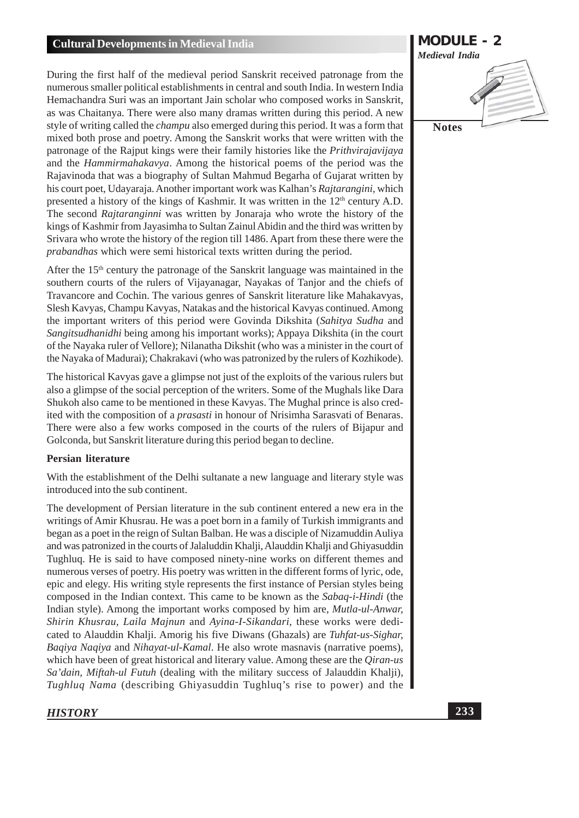During the first half of the medieval period Sanskrit received patronage from the numerous smaller political establishments in central and south India. In western India Hemachandra Suri was an important Jain scholar who composed works in Sanskrit, as was Chaitanya. There were also many dramas written during this period. A new style of writing called the *champu* also emerged during this period. It was a form that mixed both prose and poetry. Among the Sanskrit works that were written with the patronage of the Rajput kings were their family histories like the Prithvirajavijaya and the *Hammirmahakavya*. Among the historical poems of the period was the Rajavinoda that was a biography of Sultan Mahmud Begarha of Gujarat written by his court poet, Udayaraja. Another important work was Kalhan's Rajtarangini, which presented a history of the kings of Kashmir. It was written in the  $12<sup>th</sup>$  century A.D. The second Rajtaranginni was written by Jonaraja who wrote the history of the kings of Kashmir from Jayasimha to Sultan Zainul Abidin and the third was written by Srivara who wrote the history of the region till 1486. Apart from these there were the *prabandhas* which were semi historical texts written during the period.

After the 15<sup>th</sup> century the patronage of the Sanskrit language was maintained in the southern courts of the rulers of Vijayanagar, Nayakas of Tanjor and the chiefs of Travancore and Cochin. The various genres of Sanskrit literature like Mahakavyas, Slesh Kayyas, Champu Kayyas, Natakas and the historical Kayyas continued. Among the important writers of this period were Govinda Dikshita (Sahitya Sudha and Sangitsudhanidhi being among his important works); Appaya Dikshita (in the court of the Nayaka ruler of Vellore); Nilanatha Dikshit (who was a minister in the court of the Nayaka of Madurai); Chakrakavi (who was patronized by the rulers of Kozhikode).

The historical Kavyas gave a glimpse not just of the exploits of the various rulers but also a glimpse of the social perception of the writers. Some of the Mughals like Dara Shukoh also came to be mentioned in these Kavyas. The Mughal prince is also credited with the composition of a *prasasti* in honour of Nrisimha Sarasvati of Benaras. There were also a few works composed in the courts of the rulers of Bijapur and Golconda, but Sanskrit literature during this period began to decline.

#### **Persian literature**

With the establishment of the Delhi sultanate a new language and literary style was introduced into the sub continent.

The development of Persian literature in the sub continent entered a new era in the writings of Amir Khusrau. He was a poet born in a family of Turkish immigrants and began as a poet in the reign of Sultan Balban. He was a disciple of Nizamuddin Auliya and was patronized in the courts of Jalaluddin Khalji, Alauddin Khalji and Ghiyasuddin Tughluq. He is said to have composed ninety-nine works on different themes and numerous verses of poetry. His poetry was written in the different forms of lyric, ode, epic and elegy. His writing style represents the first instance of Persian styles being composed in the Indian context. This came to be known as the *Sabag-i-Hindi* (the Indian style). Among the important works composed by him are, *Mutla-ul-Anwar*, Shirin Khusrau, Laila Majnun and Ayina-I-Sikandari, these works were dedicated to Alauddin Khalji. Amorig his five Diwans (Ghazals) are *Tuhfat-us-Sighar*, Bagiya Nagiya and Nihayat-ul-Kamal. He also wrote masnavis (narrative poems), which have been of great historical and literary value. Among these are the *Oiran-us* Sa'dain, Miftah-ul Futuh (dealing with the military success of Jalauddin Khalji), Tughluq Nama (describing Ghiyasuddin Tughluq's rise to power) and the

**MODULE - 2 Medieval India Notes**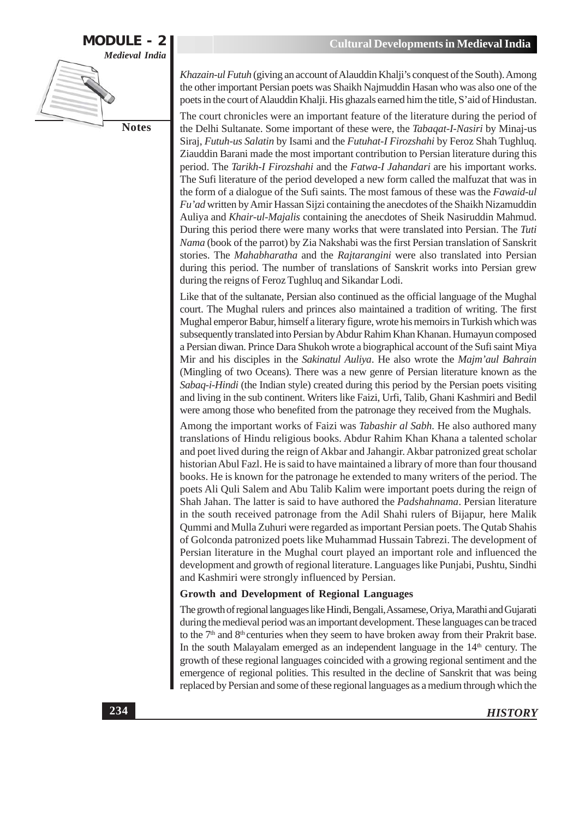

Khazain-ul Futuh (giving an account of Alauddin Khalji's conquest of the South). Among the other important Persian poets was Shaikh Najmuddin Hasan who was also one of the poets in the court of Alauddin Khalji. His ghazals earned him the title, S'aid of Hindustan.

The court chronicles were an important feature of the literature during the period of the Delhi Sultanate. Some important of these were, the Tabaqat-I-Nasiri by Minaj-us Siraj, Futuh-us Salatin by Isami and the Futuhat-I Firozshahi by Feroz Shah Tughluq. Ziauddin Barani made the most important contribution to Persian literature during this period. The Tarikh-I Firozshahi and the Fatwa-I Jahandari are his important works. The Sufi literature of the period developed a new form called the malfuzat that was in the form of a dialogue of the Sufi saints. The most famous of these was the Fawaid-ul Fu'ad written by Amir Hassan Sijzi containing the anecdotes of the Shaikh Nizamuddin Auliya and Khair-ul-Majalis containing the anecdotes of Sheik Nasiruddin Mahmud. During this period there were many works that were translated into Persian. The Tuti Nama (book of the parrot) by Zia Nakshabi was the first Persian translation of Sanskrit stories. The Mahabharatha and the Rajtarangini were also translated into Persian during this period. The number of translations of Sanskrit works into Persian grew during the reigns of Feroz Tughluq and Sikandar Lodi.

Like that of the sultanate, Persian also continued as the official language of the Mughal court. The Mughal rulers and princes also maintained a tradition of writing. The first Mughal emperor Babur, himself a literary figure, wrote his memoirs in Turkish which was subsequently translated into Persian by Abdur Rahim Khan Khanan. Humayun composed a Persian diwan. Prince Dara Shukoh wrote a biographical account of the Sufi saint Miya Mir and his disciples in the Sakinatul Auliya. He also wrote the Majm'aul Bahrain (Mingling of two Oceans). There was a new genre of Persian literature known as the Sabaq-i-Hindi (the Indian style) created during this period by the Persian poets visiting and living in the sub continent. Writers like Faizi, Urfi, Talib, Ghani Kashmiri and Bedil were among those who benefited from the patronage they received from the Mughals.

Among the important works of Faizi was *Tabashir al Sabh*. He also authored many translations of Hindu religious books. Abdur Rahim Khan Khana a talented scholar and poet lived during the reign of Akbar and Jahangir. Akbar patronized great scholar historian Abul Fazl. He is said to have maintained a library of more than four thousand books. He is known for the patronage he extended to many writers of the period. The poets Ali Quli Salem and Abu Talib Kalim were important poets during the reign of Shah Jahan. The latter is said to have authored the Padshahnama. Persian literature in the south received patronage from the Adil Shahi rulers of Bijapur, here Malik Qummi and Mulla Zuhuri were regarded as important Persian poets. The Qutab Shahis of Golconda patronized poets like Muhammad Hussain Tabrezi. The development of Persian literature in the Mughal court played an important role and influenced the development and growth of regional literature. Languages like Punjabi, Pushtu, Sindhi and Kashmiri were strongly influenced by Persian.

#### **Growth and Development of Regional Languages**

The growth of regional languages like Hindi, Bengali, Assamese, Oriya, Marathi and Gujarati during the medieval period was an important development. These languages can be traced to the  $7<sup>th</sup>$  and  $8<sup>th</sup>$  centuries when they seem to have broken away from their Prakrit base. In the south Malayalam emerged as an independent language in the 14<sup>th</sup> century. The growth of these regional languages coincided with a growing regional sentiment and the emergence of regional polities. This resulted in the decline of Sanskrit that was being replaced by Persian and some of these regional languages as a medium through which the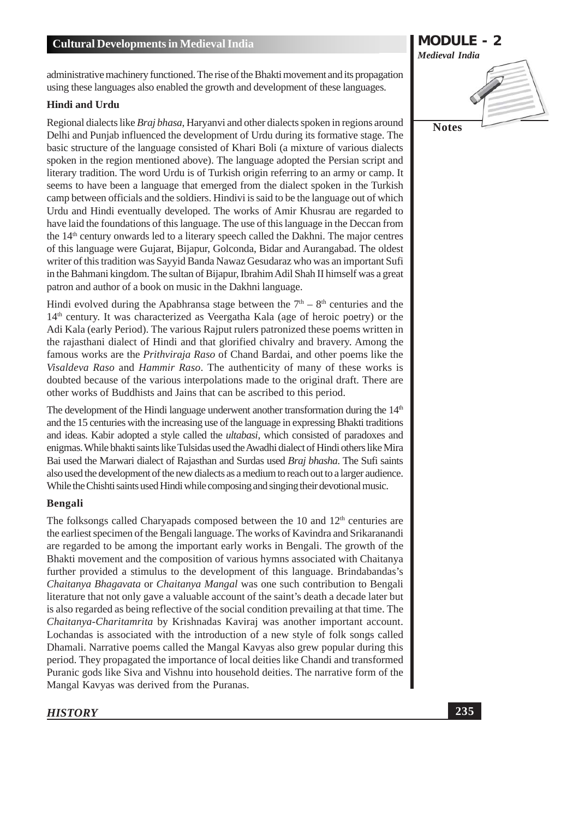administrative machinery functioned. The rise of the Bhakti movement and its propagation using these languages also enabled the growth and development of these languages.

#### **Hindi** and Urdu

Regional dialects like Braj bhasa, Haryanvi and other dialects spoken in regions around Delhi and Punjab influenced the development of Urdu during its formative stage. The basic structure of the language consisted of Khari Boli (a mixture of various dialects spoken in the region mentioned above). The language adopted the Persian script and literary tradition. The word Urdu is of Turkish origin referring to an army or camp. It seems to have been a language that emerged from the dialect spoken in the Turkish camp between officials and the soldiers. Hindivi is said to be the language out of which Urdu and Hindi eventually developed. The works of Amir Khusrau are regarded to have laid the foundations of this language. The use of this language in the Deccan from the 14<sup>th</sup> century onwards led to a literary speech called the Dakhni. The major centres of this language were Gujarat, Bijapur, Golconda, Bidar and Aurangabad. The oldest writer of this tradition was Sayvid Banda Nawaz Gesudaraz who was an important Sufi in the Bahmani kingdom. The sultan of Bijapur, Ibrahim Adil Shah II himself was a great patron and author of a book on music in the Dakhni language.

Hindi evolved during the Apabhransa stage between the  $7<sup>th</sup> - 8<sup>th</sup>$  centuries and the 14<sup>th</sup> century. It was characterized as Veergatha Kala (age of heroic poetry) or the Adi Kala (early Period). The various Rajput rulers patronized these poems written in the rajasthani dialect of Hindi and that glorified chivalry and bravery. Among the famous works are the *Prithviraja Raso* of Chand Bardai, and other poems like the Visaldeva Raso and Hammir Raso. The authenticity of many of these works is doubted because of the various interpolations made to the original draft. There are other works of Buddhists and Jains that can be ascribed to this period.

The development of the Hindi language underwent another transformation during the  $14<sup>th</sup>$ and the 15 centuries with the increasing use of the language in expressing Bhakti traditions and ideas. Kabir adopted a style called the *ultabasi*, which consisted of paradoxes and enigmas. While bhakti saints like Tulsidas used the Awadhi dialect of Hindi others like Mira Bai used the Marwari dialect of Rajasthan and Surdas used *Braj bhasha*. The Sufi saints also used the development of the new dialects as a medium to reach out to a larger audience. While the Chishti saints used Hindi while composing and singing their devotional music.

#### Bengali

The folksongs called Charyapads composed between the 10 and  $12<sup>th</sup>$  centuries are the earliest specimen of the Bengali language. The works of Kavindra and Srikaranandi are regarded to be among the important early works in Bengali. The growth of the Bhakti movement and the composition of various hymns associated with Chaitanya further provided a stimulus to the development of this language. Brindabandas's Chaitanya Bhagavata or Chaitanya Mangal was one such contribution to Bengali literature that not only gave a valuable account of the saint's death a decade later but is also regarded as being reflective of the social condition prevailing at that time. The *Chaitanya-Charitamrita* by Krishnadas Kaviraj was another important account. Lochandas is associated with the introduction of a new style of folk songs called Dhamali. Narrative poems called the Mangal Kavyas also grew popular during this period. They propagated the importance of local deities like Chandi and transformed Puranic gods like Siva and Vishnu into household deities. The narrative form of the Mangal Kavyas was derived from the Puranas.

#### **HISTORY**



**Notes**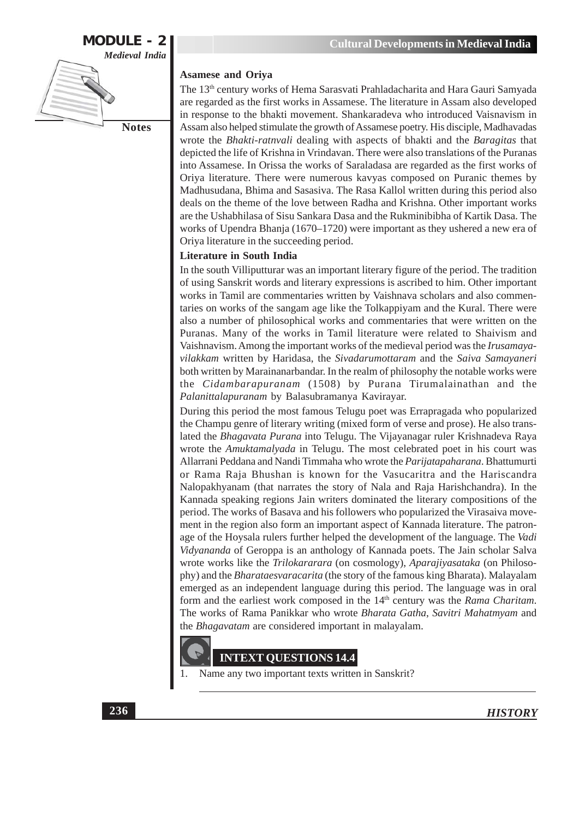

#### **Asamese and Oriya**

The 13<sup>th</sup> century works of Hema Sarasvati Prahladacharita and Hara Gauri Samyada are regarded as the first works in Assamese. The literature in Assam also developed in response to the bhakti movement. Shankaradeva who introduced Vaisnavism in Assam also helped stimulate the growth of Assamese poetry. His disciple, Madhavadas wrote the *Bhakti-ratnvali* dealing with aspects of bhakti and the *Baragitas* that depicted the life of Krishna in Vrindavan. There were also translations of the Puranas into Assamese. In Orissa the works of Saraladasa are regarded as the first works of Oriya literature. There were numerous kavyas composed on Puranic themes by Madhusudana, Bhima and Sasasiva. The Rasa Kallol written during this period also deals on the theme of the love between Radha and Krishna. Other important works are the Ushabhilasa of Sisu Sankara Dasa and the Rukminibibha of Kartik Dasa. The works of Upendra Bhanja (1670–1720) were important as they ushered a new era of Oriya literature in the succeeding period.

#### **Literature in South India**

In the south Villiputturar was an important literary figure of the period. The tradition of using Sanskrit words and literary expressions is ascribed to him. Other important works in Tamil are commentaries written by Vaishnava scholars and also commentaries on works of the sangam age like the Tolkappiyam and the Kural. There were also a number of philosophical works and commentaries that were written on the Puranas. Many of the works in Tamil literature were related to Shaivism and Vaishnavism. Among the important works of the medieval period was the *Irusamaya*vilakkam written by Haridasa, the Sivadarumottaram and the Saiva Samayaneri both written by Marainanarbandar. In the realm of philosophy the notable works were the Cidambarapuranam (1508) by Purana Tirumalainathan and the Palanittalapuranam by Balasubramanya Kavirayar.

During this period the most famous Telugu poet was Errapragada who popularized the Champu genre of literary writing (mixed form of verse and prose). He also translated the Bhagavata Purana into Telugu. The Vijayanagar ruler Krishnadeva Raya wrote the Amuktamalyada in Telugu. The most celebrated poet in his court was Allarrani Peddana and Nandi Timmaha who wrote the Parijatapaharana. Bhattumurti or Rama Raja Bhushan is known for the Vasucaritra and the Hariscandra Nalopakhyanam (that narrates the story of Nala and Raja Harishchandra). In the Kannada speaking regions Jain writers dominated the literary compositions of the period. The works of Basava and his followers who popularized the Virasaiva movement in the region also form an important aspect of Kannada literature. The patronage of the Hoysala rulers further helped the development of the language. The Vadi Vidyananda of Geroppa is an anthology of Kannada poets. The Jain scholar Salva wrote works like the Trilokararara (on cosmology), Aparajiyasataka (on Philosophy) and the Bharataesvaracarita (the story of the famous king Bharata). Malayalam emerged as an independent language during this period. The language was in oral form and the earliest work composed in the 14<sup>th</sup> century was the Rama Charitam. The works of Rama Panikkar who wrote Bharata Gatha, Savitri Mahatmyam and the *Bhagavatam* are considered important in malayalam.



## **INTEXT QUESTIONS 14.4**

Name any two important texts written in Sanskrit?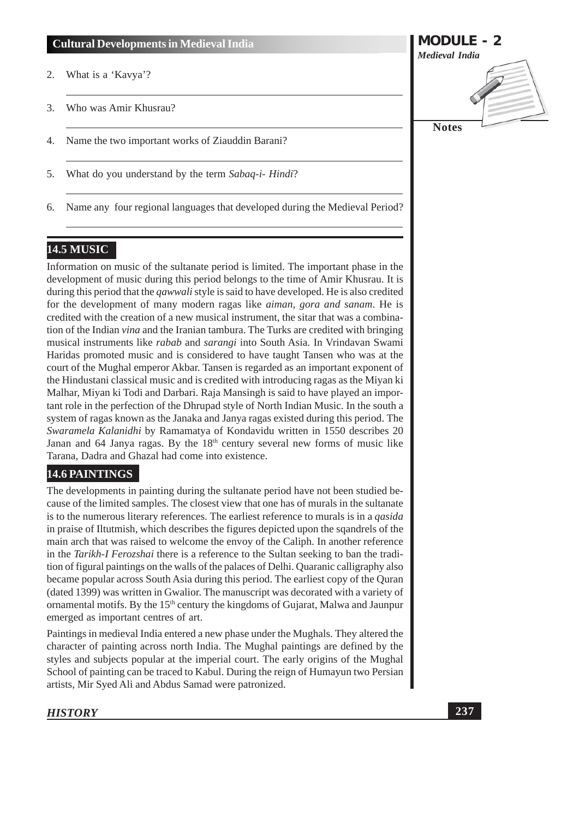- 2. What is a 'Kavya'?
- 3. Who was Amir Khusrau?
- Name the two important works of Ziauddin Barani? 4.
- 5. What do you understand by the term Sabaq-i- Hindi?

Name any four regional languages that developed during the Medieval Period? 6.

### **14.5 MUSIC**

Information on music of the sultanate period is limited. The important phase in the development of music during this period belongs to the time of Amir Khusrau. It is during this period that the *qawwali* style is said to have developed. He is also credited for the development of many modern ragas like *aiman*, *gora and sanam*. He is credited with the creation of a new musical instrument, the sitar that was a combination of the Indian *vina* and the Iranian tambura. The Turks are credited with bringing musical instruments like *rabab* and *sarangi* into South Asia. In Vrindavan Swami Haridas promoted music and is considered to have taught Tansen who was at the court of the Mughal emperor Akbar. Tansen is regarded as an important exponent of the Hindustani classical music and is credited with introducing ragas as the Miyan ki Malhar, Miyan ki Todi and Darbari. Raja Mansingh is said to have played an important role in the perfection of the Dhrupad style of North Indian Music. In the south a system of ragas known as the Janaka and Janya ragas existed during this period. The Swaramela Kalanidhi by Ramamatya of Kondavidu written in 1550 describes 20 Janan and 64 Janya ragas. By the 18<sup>th</sup> century several new forms of music like Tarana, Dadra and Ghazal had come into existence.

## 14.6 PAINTINGS

The developments in painting during the sultanate period have not been studied because of the limited samples. The closest view that one has of murals in the sultanate is to the numerous literary references. The earliest reference to murals is in a *gasida* in praise of Iltutmish, which describes the figures depicted upon the sqandrels of the main arch that was raised to welcome the envoy of the Caliph. In another reference in the Tarikh-I Ferozshai there is a reference to the Sultan seeking to ban the tradition of figural paintings on the walls of the palaces of Delhi. Quaranic calligraphy also became popular across South Asia during this period. The earliest copy of the Ouran (dated 1399) was written in Gwalior. The manuscript was decorated with a variety of ornamental motifs. By the 15<sup>th</sup> century the kingdoms of Gujarat, Malwa and Jaunpur emerged as important centres of art.

Paintings in medieval India entered a new phase under the Mughals. They altered the character of painting across north India. The Mughal paintings are defined by the styles and subjects popular at the imperial court. The early origins of the Mughal School of painting can be traced to Kabul. During the reign of Humayun two Persian artists, Mir Syed Ali and Abdus Samad were patronized.

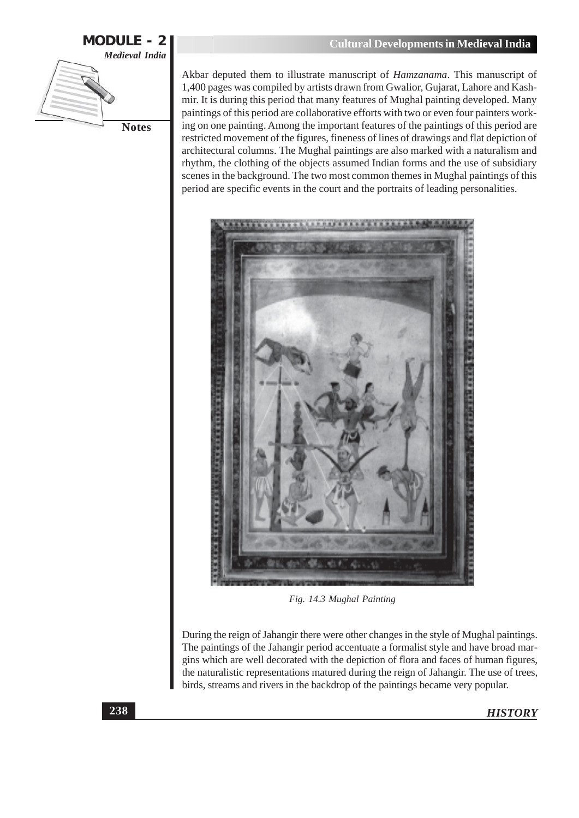

Akbar deputed them to illustrate manuscript of Hamzanama. This manuscript of 1,400 pages was compiled by artists drawn from Gwalior, Gujarat, Lahore and Kashmir. It is during this period that many features of Mughal painting developed. Many paintings of this period are collaborative efforts with two or even four painters working on one painting. Among the important features of the paintings of this period are restricted movement of the figures, fineness of lines of drawings and flat depiction of architectural columns. The Mughal paintings are also marked with a naturalism and rhythm, the clothing of the objects assumed Indian forms and the use of subsidiary scenes in the background. The two most common themes in Mughal paintings of this period are specific events in the court and the portraits of leading personalities.



Fig. 14.3 Mughal Painting

During the reign of Jahangir there were other changes in the style of Mughal paintings. The paintings of the Jahangir period accentuate a formalist style and have broad margins which are well decorated with the depiction of flora and faces of human figures, the naturalistic representations matured during the reign of Jahangir. The use of trees, birds, streams and rivers in the backdrop of the paintings became very popular.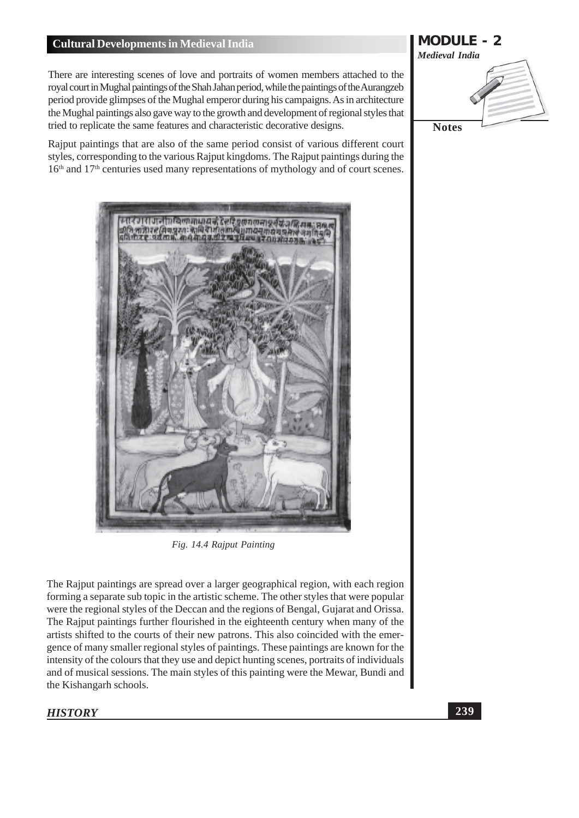There are interesting scenes of love and portraits of women members attached to the royal court in Mughal paintings of the Shah Jahan period, while the paintings of the Aurangzeb period provide glimpses of the Mughal emperor during his campaigns. As in architecture the Mughal paintings also gave way to the growth and development of regional styles that tried to replicate the same features and characteristic decorative designs.

Raiput paintings that are also of the same period consist of various different court styles, corresponding to the various Rajput kingdoms. The Rajput paintings during the  $16<sup>th</sup>$  and  $17<sup>th</sup>$  centuries used many representations of mythology and of court scenes.



Fig. 14.4 Rajput Painting

The Rajput paintings are spread over a larger geographical region, with each region forming a separate sub topic in the artistic scheme. The other styles that were popular were the regional styles of the Deccan and the regions of Bengal, Gujarat and Orissa. The Rajput paintings further flourished in the eighteenth century when many of the artists shifted to the courts of their new patrons. This also coincided with the emergence of many smaller regional styles of paintings. These paintings are known for the intensity of the colours that they use and depict hunting scenes, portraits of individuals and of musical sessions. The main styles of this painting were the Mewar, Bundi and the Kishangarh schools.

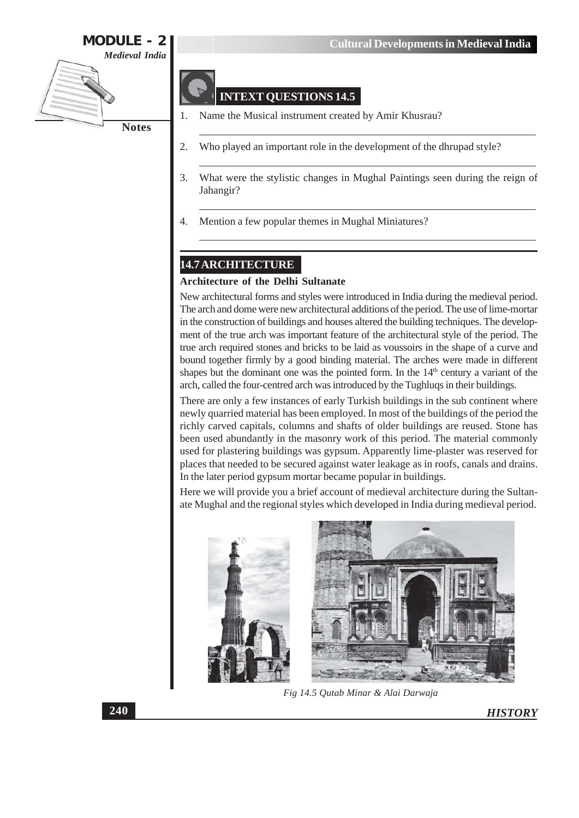

## **INTEXT QUESTIONS 14.5**

- Name the Musical instrument created by Amir Khusrau?
- Who played an important role in the development of the dhrupad style?  $\overline{2}$ .
- What were the stylistic changes in Mughal Paintings seen during the reign of  $\mathfrak{Z}$ . Jahangir?
- $\overline{4}$ . Mention a few popular themes in Mughal Miniatures?

## 14.7 ARCHITECTURE

#### **Architecture of the Delhi Sultanate**

New architectural forms and styles were introduced in India during the medieval period. The arch and dome were new architectural additions of the period. The use of lime-mortar in the construction of buildings and houses altered the building techniques. The development of the true arch was important feature of the architectural style of the period. The true arch required stones and bricks to be laid as voussoirs in the shape of a curve and bound together firmly by a good binding material. The arches were made in different shapes but the dominant one was the pointed form. In the 14<sup>th</sup> century a variant of the arch, called the four-centred arch was introduced by the Tughluqs in their buildings.

There are only a few instances of early Turkish buildings in the sub continent where newly quarried material has been employed. In most of the buildings of the period the richly carved capitals, columns and shafts of older buildings are reused. Stone has been used abundantly in the masonry work of this period. The material commonly used for plastering buildings was gypsum. Apparently lime-plaster was reserved for places that needed to be secured against water leakage as in roofs, canals and drains. In the later period gypsum mortar became popular in buildings.

Here we will provide you a brief account of medieval architecture during the Sultanate Mughal and the regional styles which developed in India during medieval period.



Fig 14.5 Qutab Minar & Alai Darwaja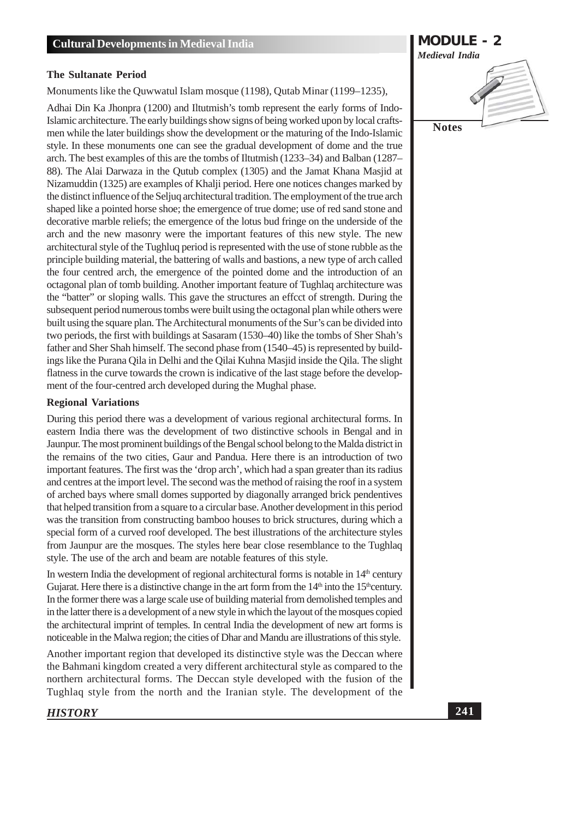#### **The Sultanate Period**

Monuments like the Quwwatul Islam mosque (1198), Qutab Minar (1199–1235),

Adhai Din Ka Jhonpra (1200) and Iltutmish's tomb represent the early forms of Indo-Islamic architecture. The early buildings show signs of being worked upon by local craftsmen while the later buildings show the development or the maturing of the Indo-Islamic style. In these monuments one can see the gradual development of dome and the true arch. The best examples of this are the tombs of Iltutmish (1233–34) and Balban (1287– 88). The Alai Darwaza in the Qutub complex (1305) and the Jamat Khana Masjid at Nizamuddin (1325) are examples of Khalji period. Here one notices changes marked by the distinct influence of the Seljuq architectural tradition. The employment of the true arch shaped like a pointed horse shoe; the emergence of true dome; use of red sand stone and decorative marble reliefs; the emergence of the lotus bud fringe on the underside of the arch and the new masonry were the important features of this new style. The new architectural style of the Tughluq period is represented with the use of stone rubble as the principle building material, the battering of walls and bastions, a new type of arch called the four centred arch, the emergence of the pointed dome and the introduction of an octagonal plan of tomb building. Another important feature of Tughlaq architecture was the "batter" or sloping walls. This gave the structures an effect of strength. During the subsequent period numerous tombs were built using the octagonal plan while others were built using the square plan. The Architectural monuments of the Sur's can be divided into two periods, the first with buildings at Sasaram (1530–40) like the tombs of Sher Shah's father and Sher Shah himself. The second phase from (1540–45) is represented by buildings like the Purana Oila in Delhi and the Oilai Kuhna Masjid inside the Oila. The slight flatness in the curve towards the crown is indicative of the last stage before the development of the four-centred arch developed during the Mughal phase.

#### **Regional Variations**

During this period there was a development of various regional architectural forms. In eastern India there was the development of two distinctive schools in Bengal and in Jaunpur. The most prominent buildings of the Bengal school belong to the Malda district in the remains of the two cities, Gaur and Pandua. Here there is an introduction of two important features. The first was the 'drop arch', which had a span greater than its radius and centres at the import level. The second was the method of raising the roof in a system of arched bays where small domes supported by diagonally arranged brick pendentives that helped transition from a square to a circular base. Another development in this period was the transition from constructing bamboo houses to brick structures, during which a special form of a curved roof developed. The best illustrations of the architecture styles from Jaunpur are the mosques. The styles here bear close resemblance to the Tughlaq style. The use of the arch and beam are notable features of this style.

In western India the development of regional architectural forms is notable in 14<sup>th</sup> century Gujarat. Here there is a distinctive change in the art form from the  $14<sup>th</sup>$  into the 15<sup>th</sup> century. In the former there was a large scale use of building material from demolished temples and in the latter there is a development of a new style in which the layout of the mosques copied the architectural imprint of temples. In central India the development of new art forms is noticeable in the Malwa region; the cities of Dhar and Mandu are illustrations of this style.

Another important region that developed its distinctive style was the Deccan where the Bahmani kingdom created a very different architectural style as compared to the northern architectural forms. The Deccan style developed with the fusion of the Tughlaq style from the north and the Iranian style. The development of the

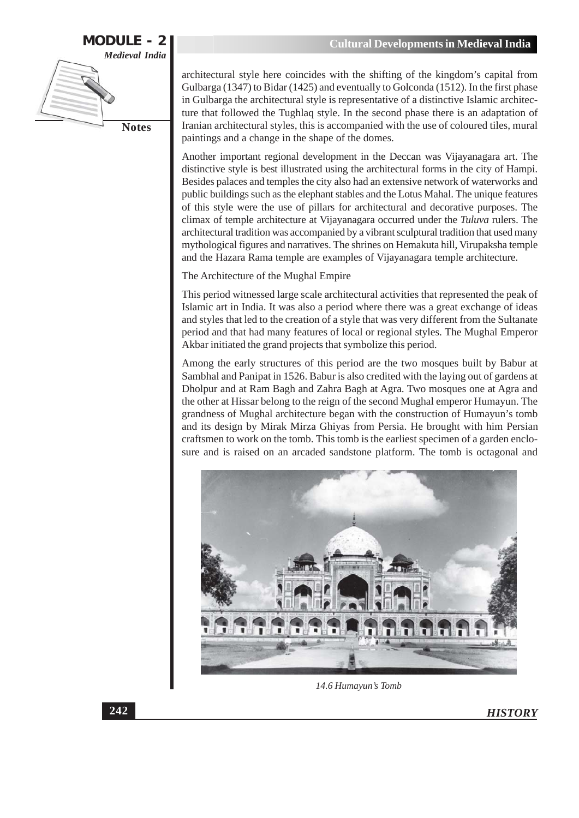

architectural style here coincides with the shifting of the kingdom's capital from Gulbarga (1347) to Bidar (1425) and eventually to Golconda (1512). In the first phase in Gulbarga the architectural style is representative of a distinctive Islamic architecture that followed the Tughlaq style. In the second phase there is an adaptation of Iranian architectural styles, this is accompanied with the use of coloured tiles, mural paintings and a change in the shape of the domes.

Another important regional development in the Deccan was Vijayanagara art. The distinctive style is best illustrated using the architectural forms in the city of Hampi. Besides palaces and temples the city also had an extensive network of waterworks and public buildings such as the elephant stables and the Lotus Mahal. The unique features of this style were the use of pillars for architectural and decorative purposes. The climax of temple architecture at Vijayanagara occurred under the Tuluva rulers. The architectural tradition was accompanied by a vibrant sculptural tradition that used many mythological figures and narratives. The shrines on Hemakuta hill, Virupaksha temple and the Hazara Rama temple are examples of Vijayanagara temple architecture.

The Architecture of the Mughal Empire

This period witnessed large scale architectural activities that represented the peak of Islamic art in India. It was also a period where there was a great exchange of ideas and styles that led to the creation of a style that was very different from the Sultanate period and that had many features of local or regional styles. The Mughal Emperor Akbar initiated the grand projects that symbolize this period.

Among the early structures of this period are the two mosques built by Babur at Sambhal and Panipat in 1526. Babur is also credited with the laying out of gardens at Dholpur and at Ram Bagh and Zahra Bagh at Agra. Two mosques one at Agra and the other at Hissar belong to the reign of the second Mughal emperor Humayun. The grandness of Mughal architecture began with the construction of Humayun's tomb and its design by Mirak Mirza Ghiyas from Persia. He brought with him Persian craftsmen to work on the tomb. This tomb is the earliest specimen of a garden enclosure and is raised on an arcaded sandstone platform. The tomb is octagonal and



14.6 Humayun's Tomb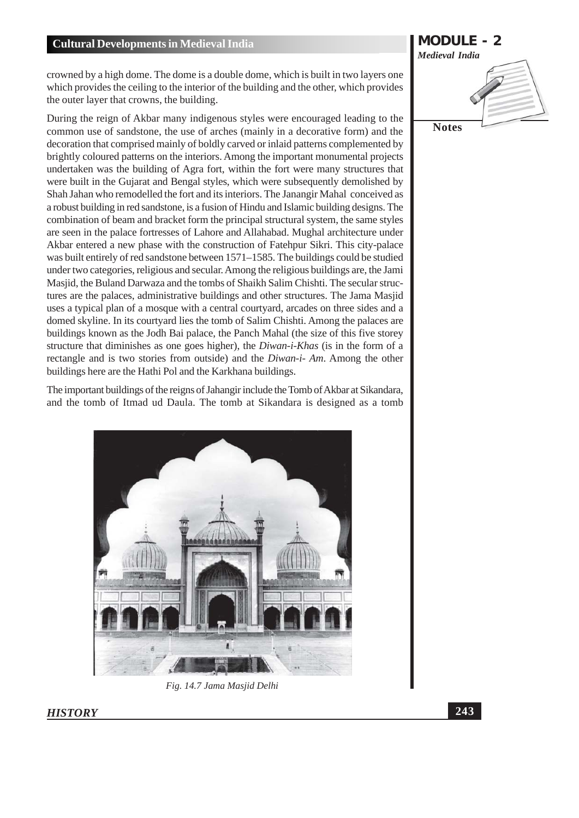crowned by a high dome. The dome is a double dome, which is built in two layers one which provides the ceiling to the interior of the building and the other, which provides the outer layer that crowns, the building.

During the reign of Akbar many indigenous styles were encouraged leading to the common use of sandstone, the use of arches (mainly in a decorative form) and the decoration that comprised mainly of boldly carved or inlaid patterns complemented by brightly coloured patterns on the interiors. Among the important monumental projects undertaken was the building of Agra fort, within the fort were many structures that were built in the Gujarat and Bengal styles, which were subsequently demolished by Shah Jahan who remodelled the fort and its interiors. The Janangir Mahal conceived as a robust building in red sandstone, is a fusion of Hindu and Islamic building designs. The combination of beam and bracket form the principal structural system, the same styles are seen in the palace fortresses of Lahore and Allahabad. Mughal architecture under Akbar entered a new phase with the construction of Fatehpur Sikri. This city-palace was built entirely of red sandstone between 1571–1585. The buildings could be studied under two categories, religious and secular. Among the religious buildings are, the Jami Masjid, the Buland Darwaza and the tombs of Shaikh Salim Chishti. The secular structures are the palaces, administrative buildings and other structures. The Jama Masjid uses a typical plan of a mosque with a central courty and, arcades on three sides and a domed skyline. In its courtyard lies the tomb of Salim Chishti. Among the palaces are buildings known as the Jodh Bai palace, the Panch Mahal (the size of this five storey structure that diminishes as one goes higher), the *Diwan-i-Khas* (is in the form of a rectangle and is two stories from outside) and the *Diwan-i-Am*. Among the other buildings here are the Hathi Pol and the Karkhana buildings.

The important buildings of the reigns of Jahangir include the Tomb of Akbar at Sikandara, and the tomb of Itmad ud Daula. The tomb at Sikandara is designed as a tomb



Fig. 14.7 Jama Masjid Delhi

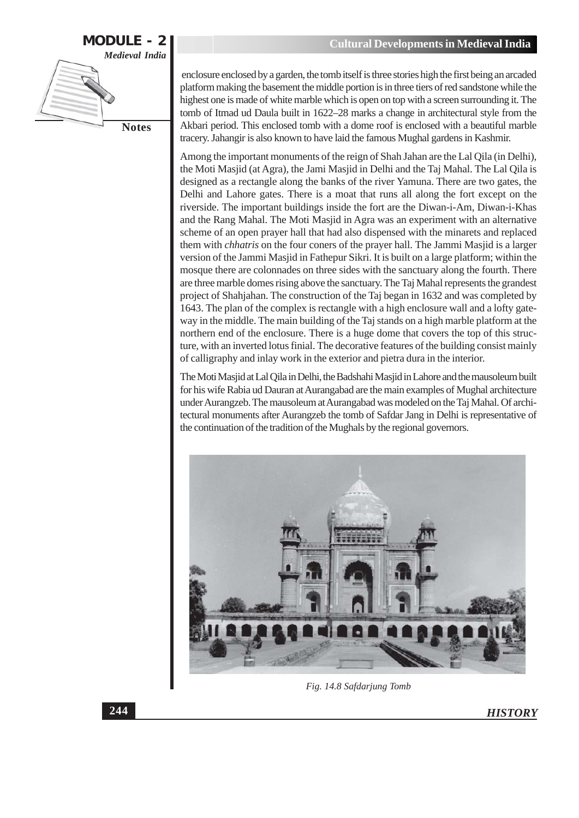

enclosure enclosed by a garden, the tomb itself is three stories high the first being an arcaded platform making the basement the middle portion is in three tiers of red sandstone while the highest one is made of white marble which is open on top with a screen surrounding it. The tomb of Itmad ud Daula built in 1622–28 marks a change in architectural style from the Akbari period. This enclosed tomb with a dome roof is enclosed with a beautiful marble tracery. Jahangir is also known to have laid the famous Mughal gardens in Kashmir.

Among the important monuments of the reign of Shah Jahan are the Lal Qila (in Delhi), the Moti Masjid (at Agra), the Jami Masjid in Delhi and the Taj Mahal. The Lal Qila is designed as a rectangle along the banks of the river Yamuna. There are two gates, the Delhi and Lahore gates. There is a moat that runs all along the fort except on the riverside. The important buildings inside the fort are the Diwan-i-Am, Diwan-i-Khas and the Rang Mahal. The Moti Masjid in Agra was an experiment with an alternative scheme of an open prayer hall that had also dispensed with the minarets and replaced them with *chhatris* on the four coners of the prayer hall. The Jammi Masjid is a larger version of the Jammi Masjid in Fathepur Sikri. It is built on a large platform; within the mosque there are colonnades on three sides with the sanctuary along the fourth. There are three marble domes rising above the sanctuary. The Taj Mahal represents the grandest project of Shahjahan. The construction of the Taj began in 1632 and was completed by 1643. The plan of the complex is rectangle with a high enclosure wall and a lofty gateway in the middle. The main building of the Taj stands on a high marble platform at the northern end of the enclosure. There is a huge dome that covers the top of this structure, with an inverted lotus finial. The decorative features of the building consist mainly of calligraphy and inlay work in the exterior and pietra dura in the interior.

The Moti Masjid at Lal Qila in Delhi, the Badshahi Masjid in Lahore and the mausoleum built for his wife Rabia ud Dauran at Aurangabad are the main examples of Mughal architecture under Aurangzeb. The mausoleum at Aurangabad was modeled on the Taj Mahal. Of architectural monuments after Aurangzeb the tomb of Safdar Jang in Delhi is representative of the continuation of the tradition of the Mughals by the regional governors.



Fig. 14.8 Safdarjung Tomb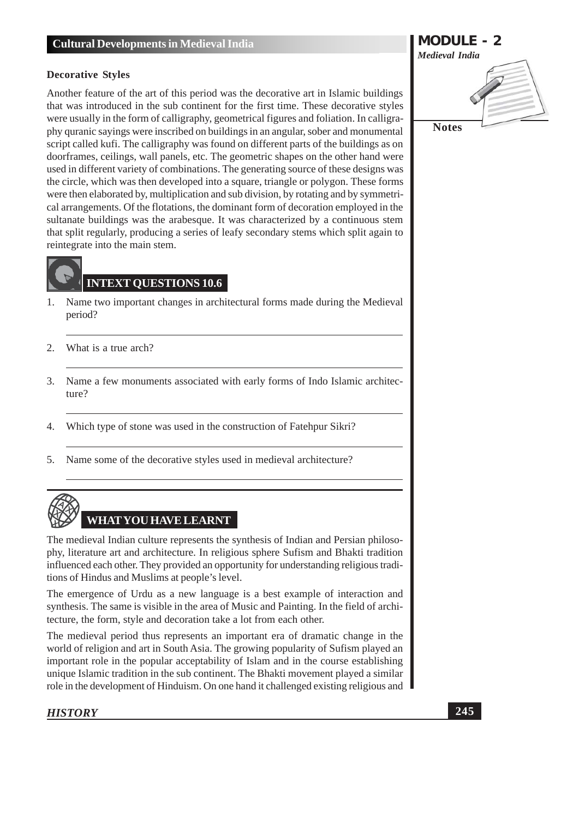#### **Decorative Styles**

Another feature of the art of this period was the decorative art in Islamic buildings that was introduced in the sub continent for the first time. These decorative styles were usually in the form of calligraphy, geometrical figures and foliation. In calligraphy quranic sayings were inscribed on buildings in an angular, sober and monumental script called kufi. The calligraphy was found on different parts of the buildings as on doorframes, ceilings, wall panels, etc. The geometric shapes on the other hand were used in different variety of combinations. The generating source of these designs was the circle, which was then developed into a square, triangle or polygon. These forms were then elaborated by, multiplication and sub division, by rotating and by symmetrical arrangements. Of the flotations, the dominant form of decoration employed in the sultanate buildings was the arabesque. It was characterized by a continuous stem that split regularly, producing a series of leafy secondary stems which split again to reintegrate into the main stem.



## **INTEXT QUESTIONS 10.6**

- Name two important changes in architectural forms made during the Medieval 1. period?
- $\mathcal{D}$ What is a true arch?
- Name a few monuments associated with early forms of Indo Islamic architec- $3.$ ture?
- Which type of stone was used in the construction of Fatehpur Sikri?  $\overline{4}$ .
- Name some of the decorative styles used in medieval architecture? 5.



## **WHAT YOU HAVE LEARNT**

The medieval Indian culture represents the synthesis of Indian and Persian philosophy, literature art and architecture. In religious sphere Sufism and Bhakti tradition influenced each other. They provided an opportunity for understanding religious traditions of Hindus and Muslims at people's level.

The emergence of Urdu as a new language is a best example of interaction and synthesis. The same is visible in the area of Music and Painting. In the field of architecture, the form, style and decoration take a lot from each other.

The medieval period thus represents an important era of dramatic change in the world of religion and art in South Asia. The growing popularity of Sufism played an important role in the popular acceptability of Islam and in the course establishing unique Islamic tradition in the sub continent. The Bhakti movement played a similar role in the development of Hinduism. On one hand it challenged existing religious and

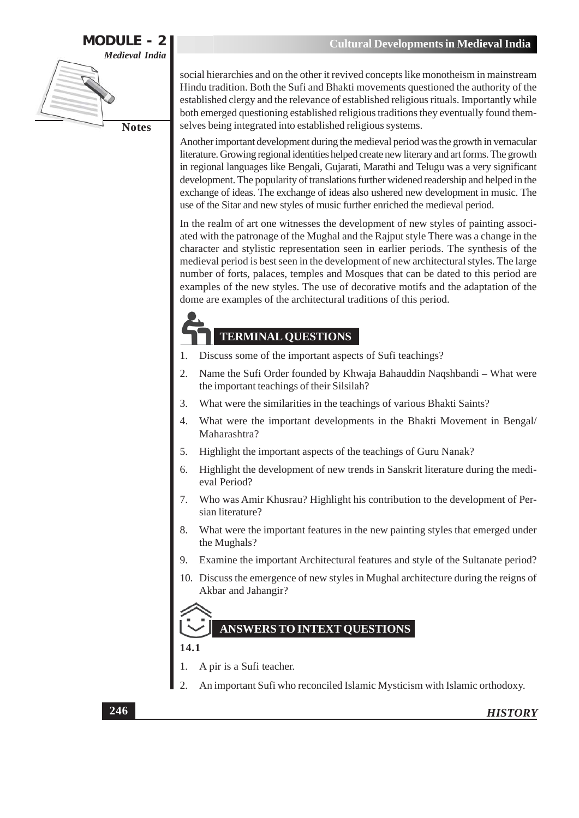

social hierarchies and on the other it revived concepts like monotheism in mainstream Hindu tradition. Both the Sufi and Bhakti movements questioned the authority of the established clergy and the relevance of established religious rituals. Importantly while both emerged questioning established religious traditions they eventually found themselves being integrated into established religious systems.

Another important development during the medieval period was the growth in vernacular literature. Growing regional identities helped create new literary and art forms. The growth in regional languages like Bengali, Gujarati, Marathi and Telugu was a very significant development. The popularity of translations further widened readership and helped in the exchange of ideas. The exchange of ideas also ushered new development in music. The use of the Sitar and new styles of music further enriched the medieval period.

In the realm of art one witnesses the development of new styles of painting associated with the patronage of the Mughal and the Rajput style There was a change in the character and stylistic representation seen in earlier periods. The synthesis of the medieval period is best seen in the development of new architectural styles. The large number of forts, palaces, temples and Mosques that can be dated to this period are examples of the new styles. The use of decorative motifs and the adaptation of the dome are examples of the architectural traditions of this period.

## **TERMINAL QUESTIONS**

- Discuss some of the important aspects of Sufi teachings? 1.
- $\overline{2}$ . Name the Sufi Order founded by Khwaja Bahauddin Naqshbandi – What were the important teachings of their Silsilah?
- 3. What were the similarities in the teachings of various Bhakti Saints?
- $\overline{4}$ . What were the important developments in the Bhakti Movement in Bengal/ Maharashtra?
- 5. Highlight the important aspects of the teachings of Guru Nanak?
- 6. Highlight the development of new trends in Sanskrit literature during the medieval Period?
- 7. Who was Amir Khusrau? Highlight his contribution to the development of Persian literature?
- What were the important features in the new painting styles that emerged under 8. the Mughals?
- Examine the important Architectural features and style of the Sultanate period? 9.
- 10. Discuss the emergence of new styles in Mughal architecture during the reigns of Akbar and Jahangir?

## **ANSWERS TO INTEXT QUESTIONS**

#### 14.1

- A pir is a Sufi teacher. 1.
- An important Sufi who reconciled Islamic Mysticism with Islamic orthodoxy. 2.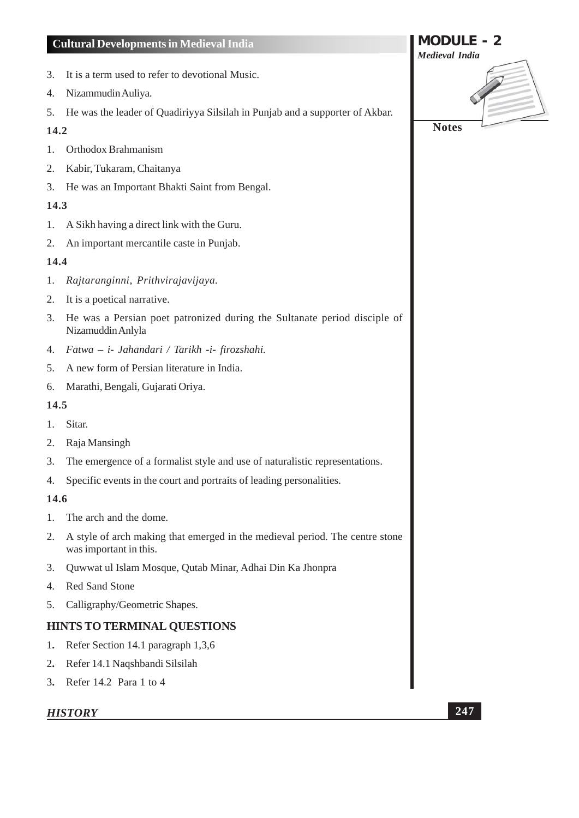- It is a term used to refer to devotional Music. 3.
- Nizammudin Auliya.  $\overline{4}$ .
- He was the leader of Quadiriyya Silsilah in Punjab and a supporter of Akbar. 5.

#### 14.2

- **Orthodox Brahmanism**  $1<sub>1</sub>$
- 2. Kabir, Tukaram, Chaitanya
- He was an Important Bhakti Saint from Bengal.  $3.$

### 14.3

- A Sikh having a direct link with the Guru.  $1.$
- An important mercantile caste in Punjab. 2.

## 14.4

- 1. Rajtaranginni, Prithvirajavijaya.
- It is a poetical narrative. 2.
- 3. He was a Persian poet patronized during the Sultanate period disciple of Nizamuddin Anlyla
- 4. Fatwa i- Jahandari / Tarikh -i- firozshahi.
- 5. A new form of Persian literature in India.
- 6. Marathi, Bengali, Gujarati Oriya.

#### 14.5

- 1. Sitar.
- Raja Mansingh  $2.$
- $3.$ The emergence of a formalist style and use of naturalistic representations.
- 4. Specific events in the court and portraits of leading personalities.

#### 14.6

- $1<sub>1</sub>$ The arch and the dome.
- A style of arch making that emerged in the medieval period. The centre stone 2. was important in this.
- 3. Quwwat ul Islam Mosque, Qutab Minar, Adhai Din Ka Jhonpra
- 4. Red Sand Stone
- 5. Calligraphy/Geometric Shapes.

## **HINTS TO TERMINAL QUESTIONS**

- Refer Section 14.1 paragraph 1,3,6  $1.$
- Refer 14.1 Naqshbandi Silsilah  $2.$
- 3. Refer 14.2 Para 1 to 4

## **HISTORY**

**MODULE - 2 Medieval India Notes**